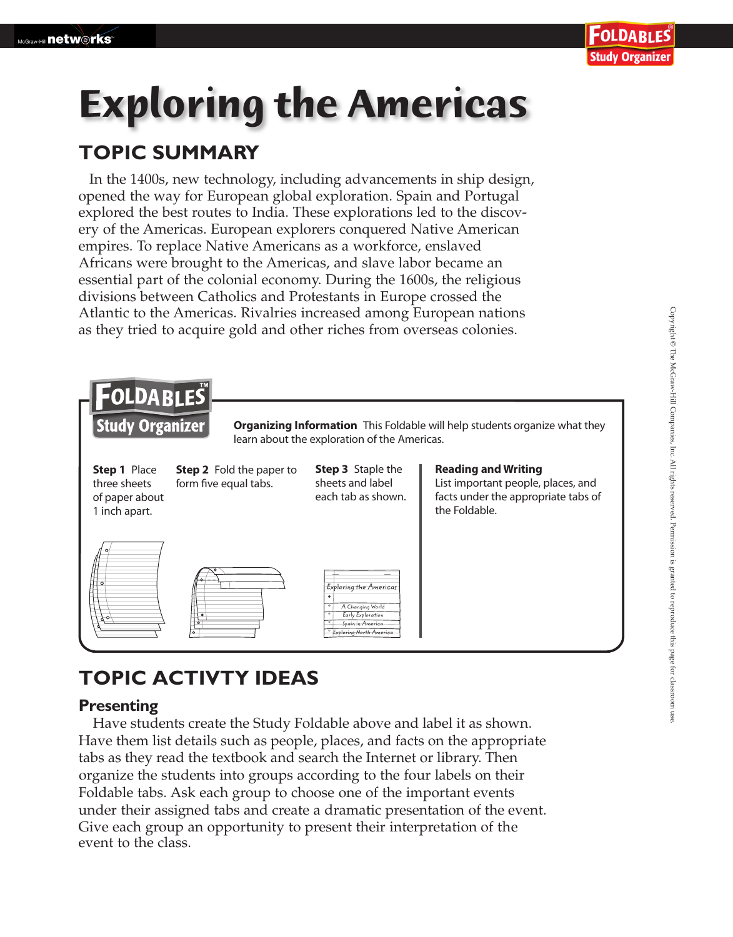# **Exploring the Americas**

### **TOPIC SUMMARY**

In the 1400s, new technology, including advancements in ship design, opened the way for European global exploration. Spain and Portugal explored the best routes to India. These explorations led to the discovery of the Americas. European explorers conquered Native American empires. To replace Native Americans as a workforce, enslaved Africans were brought to the Americas, and slave labor became an essential part of the colonial economy. During the 1600s, the religious divisions between Catholics and Protestants in Europe crossed the Atlantic to the Americas. Rivalries increased among European nations as they tried to acquire gold and other riches from overseas colonies.



## **TOPIC ACTIVTY IDEAS**

#### **Presenting**

 Have students create the Study Foldable above and label it as shown. Foldable tabs. Ask each group to choose one of the important events under their assigned tabs and create a dramatic presentation of the event. Give each group an opportunity to present their interpretation of the event to the class. Have them list details such as people, places, and facts on the appropriate tabs as they read the textbook and search the Internet or library. Then organize the students into groups according to the four labels on their